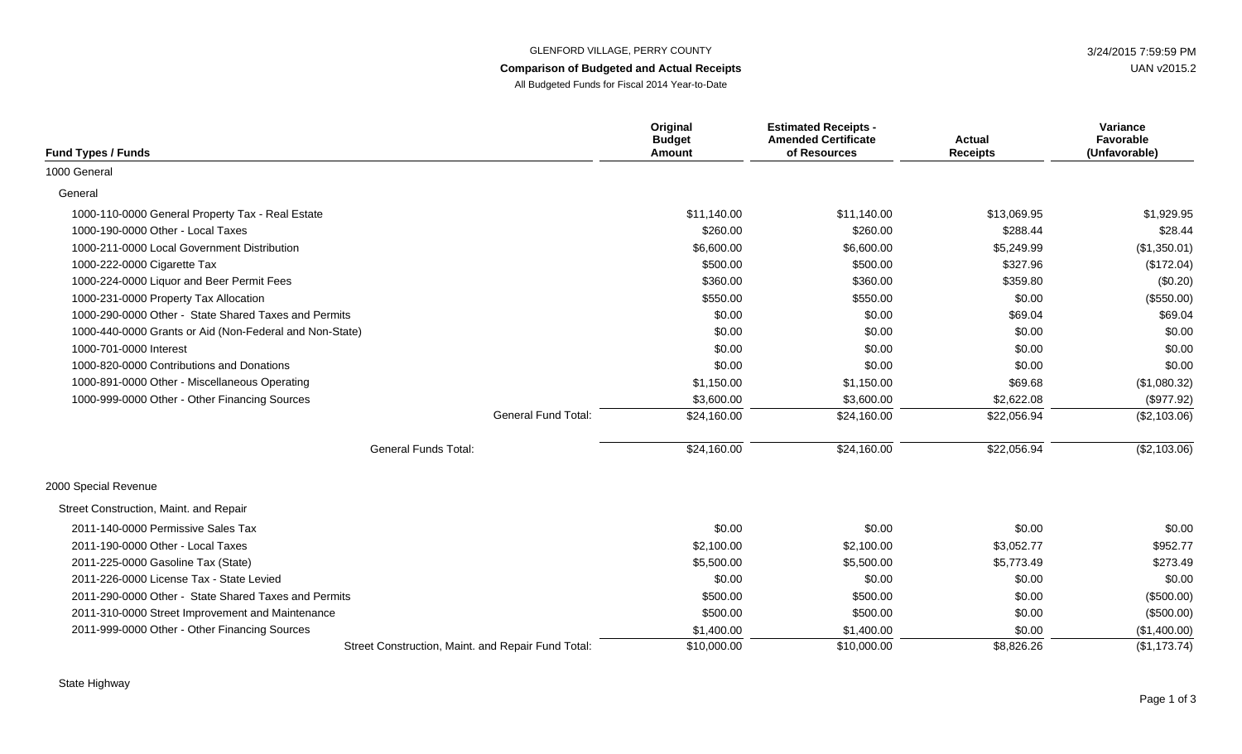# GLENFORD VILLAGE, PERRY COUNTY **COUNTY 3/24/2015 7:59:59 PM**

# **Comparison of Budgeted and Actual Receipts**

All Budgeted Funds for Fiscal 2014 Year-to-Date

| <b>Fund Types / Funds</b>                               | Original<br><b>Budget</b><br>Amount | <b>Estimated Receipts -</b><br><b>Amended Certificate</b><br>of Resources | <b>Actual</b><br><b>Receipts</b> | Variance<br>Favorable<br>(Unfavorable) |
|---------------------------------------------------------|-------------------------------------|---------------------------------------------------------------------------|----------------------------------|----------------------------------------|
| 1000 General                                            |                                     |                                                                           |                                  |                                        |
| General                                                 |                                     |                                                                           |                                  |                                        |
| 1000-110-0000 General Property Tax - Real Estate        | \$11,140.00                         | \$11,140.00                                                               | \$13,069.95                      | \$1,929.95                             |
| 1000-190-0000 Other - Local Taxes                       | \$260.00                            | \$260.00                                                                  | \$288.44                         | \$28.44                                |
| 1000-211-0000 Local Government Distribution             | \$6,600.00                          | \$6,600.00                                                                | \$5,249.99                       | (\$1,350.01)                           |
| 1000-222-0000 Cigarette Tax                             | \$500.00                            | \$500.00                                                                  | \$327.96                         | (\$172.04)                             |
| 1000-224-0000 Liquor and Beer Permit Fees               | \$360.00                            | \$360.00                                                                  | \$359.80                         | (\$0.20)                               |
| 1000-231-0000 Property Tax Allocation                   | \$550.00                            | \$550.00                                                                  | \$0.00                           | (\$550.00)                             |
| 1000-290-0000 Other - State Shared Taxes and Permits    | \$0.00                              | \$0.00                                                                    | \$69.04                          | \$69.04                                |
| 1000-440-0000 Grants or Aid (Non-Federal and Non-State) | \$0.00                              | \$0.00                                                                    | \$0.00                           | \$0.00                                 |
| 1000-701-0000 Interest                                  | \$0.00                              | \$0.00                                                                    | \$0.00                           | \$0.00                                 |
| 1000-820-0000 Contributions and Donations               | \$0.00                              | \$0.00                                                                    | \$0.00                           | \$0.00                                 |
| 1000-891-0000 Other - Miscellaneous Operating           | \$1,150.00                          | \$1,150.00                                                                | \$69.68                          | (\$1,080.32)                           |
| 1000-999-0000 Other - Other Financing Sources           | \$3,600.00                          | \$3,600.00                                                                | \$2,622.08                       | (\$977.92)                             |
| <b>General Fund Total:</b>                              | \$24,160.00                         | \$24,160.00                                                               | \$22,056.94                      | (\$2,103.06)                           |
| <b>General Funds Total:</b>                             | \$24,160.00                         | \$24,160.00                                                               | \$22,056.94                      | (\$2,103.06)                           |
| 2000 Special Revenue                                    |                                     |                                                                           |                                  |                                        |
| Street Construction, Maint. and Repair                  |                                     |                                                                           |                                  |                                        |
| 2011-140-0000 Permissive Sales Tax                      | \$0.00                              | \$0.00                                                                    | \$0.00                           | \$0.00                                 |
| 2011-190-0000 Other - Local Taxes                       | \$2,100.00                          | \$2,100.00                                                                | \$3,052.77                       | \$952.77                               |
| 2011-225-0000 Gasoline Tax (State)                      | \$5,500.00                          | \$5,500.00                                                                | \$5,773.49                       | \$273.49                               |
| 2011-226-0000 License Tax - State Levied                | \$0.00                              | \$0.00                                                                    | \$0.00                           | \$0.00                                 |
| 2011-290-0000 Other - State Shared Taxes and Permits    | \$500.00                            | \$500.00                                                                  | \$0.00                           | (\$500.00)                             |
| 2011-310-0000 Street Improvement and Maintenance        | \$500.00                            | \$500.00                                                                  | \$0.00                           | (\$500.00)                             |
| 2011-999-0000 Other - Other Financing Sources           | \$1,400.00                          | \$1,400.00                                                                | \$0.00                           | (\$1,400.00)                           |
| Street Construction, Maint. and Repair Fund Total:      | \$10,000.00                         | \$10,000.00                                                               | \$8,826.26                       | (\$1,173.74)                           |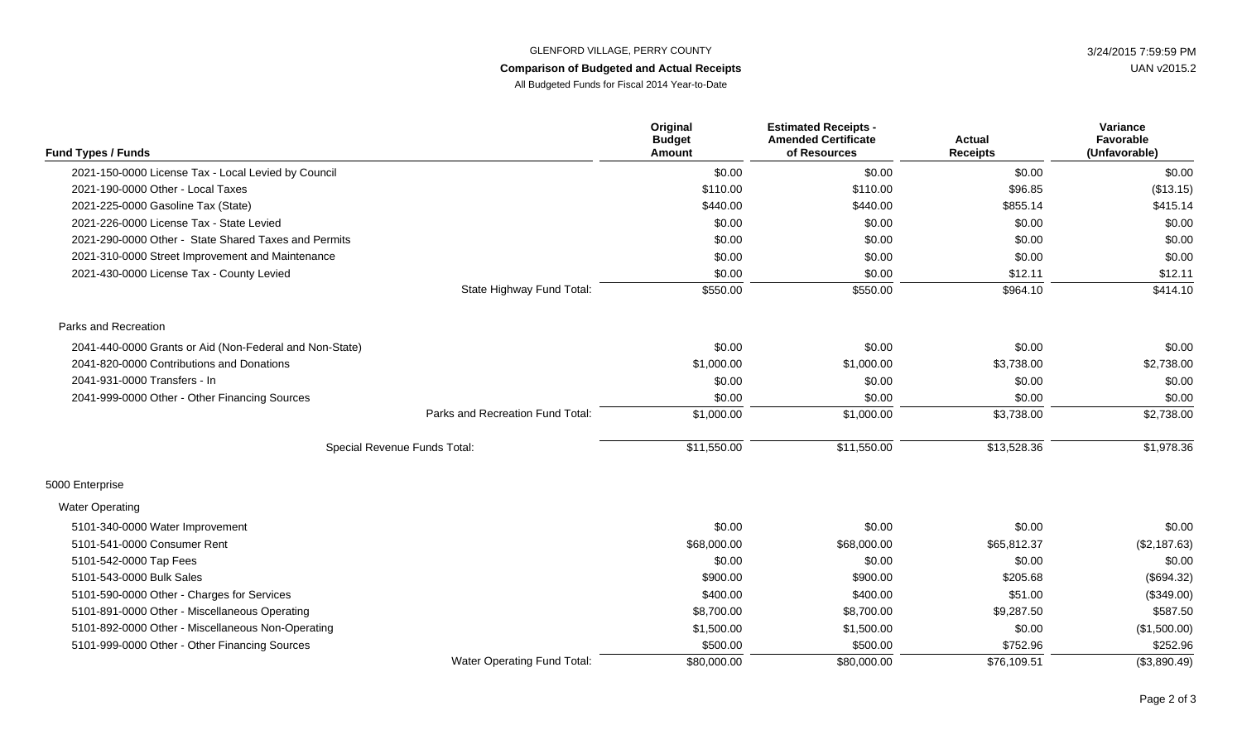### GLENFORD VILLAGE, PERRY COUNTY **COUNTY 1999 COUNTY 3/24/2015** 7:59:59 PM

# **Comparison of Budgeted and Actual Receipts**

All Budgeted Funds for Fiscal 2014 Year-to-Date

UAN v2015.2

| <b>Fund Types / Funds</b>                               | Original<br><b>Budget</b><br>Amount | <b>Estimated Receipts -</b><br><b>Amended Certificate</b><br>of Resources | <b>Actual</b><br><b>Receipts</b> | Variance<br>Favorable<br>(Unfavorable) |
|---------------------------------------------------------|-------------------------------------|---------------------------------------------------------------------------|----------------------------------|----------------------------------------|
| 2021-150-0000 License Tax - Local Levied by Council     | \$0.00                              | \$0.00                                                                    | \$0.00                           | \$0.00                                 |
| 2021-190-0000 Other - Local Taxes                       | \$110.00                            | \$110.00                                                                  | \$96.85                          | (\$13.15)                              |
| 2021-225-0000 Gasoline Tax (State)                      | \$440.00                            | \$440.00                                                                  | \$855.14                         | \$415.14                               |
| 2021-226-0000 License Tax - State Levied                | \$0.00                              | \$0.00                                                                    | \$0.00                           | \$0.00                                 |
| 2021-290-0000 Other - State Shared Taxes and Permits    | \$0.00                              | \$0.00                                                                    | \$0.00                           | \$0.00                                 |
| 2021-310-0000 Street Improvement and Maintenance        | \$0.00                              | \$0.00                                                                    | \$0.00                           | \$0.00                                 |
| 2021-430-0000 License Tax - County Levied               | \$0.00                              | \$0.00                                                                    | \$12.11                          | \$12.11                                |
| State Highway Fund Total:                               | \$550.00                            | \$550.00                                                                  | \$964.10                         | \$414.10                               |
| Parks and Recreation                                    |                                     |                                                                           |                                  |                                        |
| 2041-440-0000 Grants or Aid (Non-Federal and Non-State) | \$0.00                              | \$0.00                                                                    | \$0.00                           | \$0.00                                 |
| 2041-820-0000 Contributions and Donations               | \$1,000.00                          | \$1,000.00                                                                | \$3,738.00                       | \$2,738.00                             |
| 2041-931-0000 Transfers - In                            | \$0.00                              | \$0.00                                                                    | \$0.00                           | \$0.00                                 |
| 2041-999-0000 Other - Other Financing Sources           | \$0.00                              | \$0.00                                                                    | \$0.00                           | \$0.00                                 |
| Parks and Recreation Fund Total:                        | \$1,000.00                          | \$1,000.00                                                                | \$3,738.00                       | \$2,738.00                             |
| Special Revenue Funds Total:                            | \$11,550.00                         | \$11,550.00                                                               | \$13,528.36                      | \$1,978.36                             |
| 5000 Enterprise                                         |                                     |                                                                           |                                  |                                        |
| <b>Water Operating</b>                                  |                                     |                                                                           |                                  |                                        |
| 5101-340-0000 Water Improvement                         | \$0.00                              | \$0.00                                                                    | \$0.00                           | \$0.00                                 |
| 5101-541-0000 Consumer Rent                             | \$68,000.00                         | \$68,000.00                                                               | \$65,812.37                      | (\$2,187.63)                           |
| 5101-542-0000 Tap Fees                                  | \$0.00                              | \$0.00                                                                    | \$0.00                           | \$0.00                                 |
| 5101-543-0000 Bulk Sales                                | \$900.00                            | \$900.00                                                                  | \$205.68                         | (\$694.32)                             |
| 5101-590-0000 Other - Charges for Services              | \$400.00                            | \$400.00                                                                  | \$51.00                          | (\$349.00)                             |
| 5101-891-0000 Other - Miscellaneous Operating           | \$8,700.00                          | \$8,700.00                                                                | \$9,287.50                       | \$587.50                               |
| 5101-892-0000 Other - Miscellaneous Non-Operating       | \$1,500.00                          | \$1,500.00                                                                | \$0.00                           | (\$1,500.00)                           |
| 5101-999-0000 Other - Other Financing Sources           | \$500.00                            | \$500.00                                                                  | \$752.96                         | \$252.96                               |
| Water Operating Fund Total:                             | \$80,000.00                         | \$80,000.00                                                               | \$76,109.51                      | (\$3,890.49)                           |